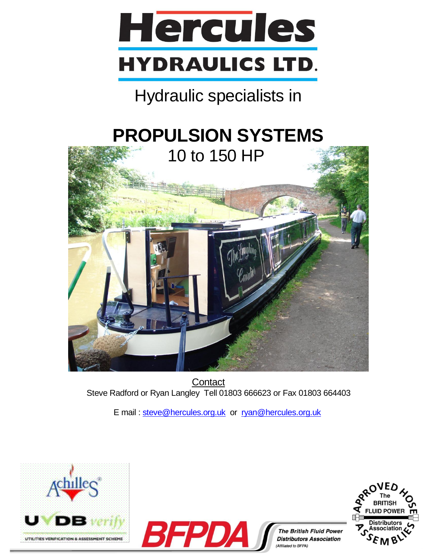

## Hydraulic specialists in

# **PROPULSION SYSTEMS**



**Contact** Steve Radford or Ryan Langley Tell 01803 666623 or Fax 01803 664403

E mail : [steve@hercules.org.uk](mailto:steve@hercules.org.uk) or [ryan@hercules.org.uk](mailto:ryan@hercules.org.uk)







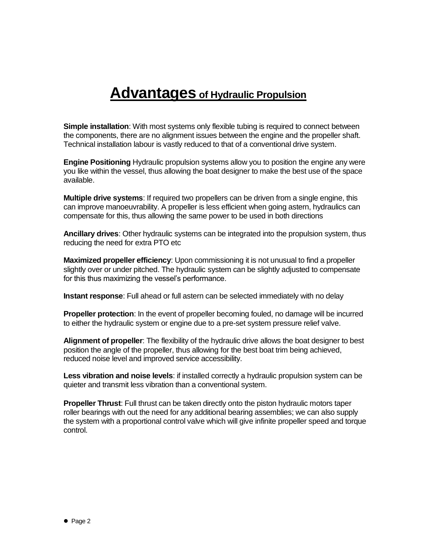## **Advantages of Hydraulic Propulsion**

**Simple installation**: With most systems only flexible tubing is required to connect between the components, there are no alignment issues between the engine and the propeller shaft. Technical installation labour is vastly reduced to that of a conventional drive system.

**Engine Positioning** Hydraulic propulsion systems allow you to position the engine any were you like within the vessel, thus allowing the boat designer to make the best use of the space available.

**Multiple drive systems**: If required two propellers can be driven from a single engine, this can improve manoeuvrability. A propeller is less efficient when going astern, hydraulics can compensate for this, thus allowing the same power to be used in both directions

**Ancillary drives**: Other hydraulic systems can be integrated into the propulsion system, thus reducing the need for extra PTO etc

**Maximized propeller efficiency**: Upon commissioning it is not unusual to find a propeller slightly over or under pitched. The hydraulic system can be slightly adjusted to compensate for this thus maximizing the vessel's performance.

**Instant response**: Full ahead or full astern can be selected immediately with no delay

**Propeller protection**: In the event of propeller becoming fouled, no damage will be incurred to either the hydraulic system or engine due to a pre-set system pressure relief valve.

**Alignment of propeller**: The flexibility of the hydraulic drive allows the boat designer to best position the angle of the propeller, thus allowing for the best boat trim being achieved, reduced noise level and improved service accessibility.

**Less vibration and noise levels**: if installed correctly a hydraulic propulsion system can be quieter and transmit less vibration than a conventional system.

**Propeller Thrust**: Full thrust can be taken directly onto the piston hydraulic motors taper roller bearings with out the need for any additional bearing assemblies; we can also supply the system with a proportional control valve which will give infinite propeller speed and torque control.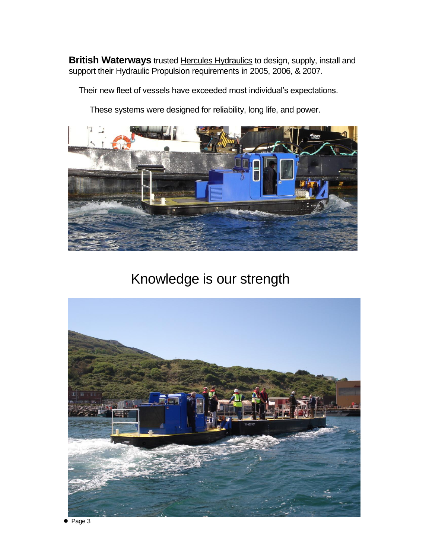**British Waterways** trusted Hercules Hydraulics to design, supply, install and support their Hydraulic Propulsion requirements in 2005, 2006, & 2007.

Their new fleet of vessels have exceeded most individual's expectations.

These systems were designed for reliability, long life, and power.



Knowledge is our strength

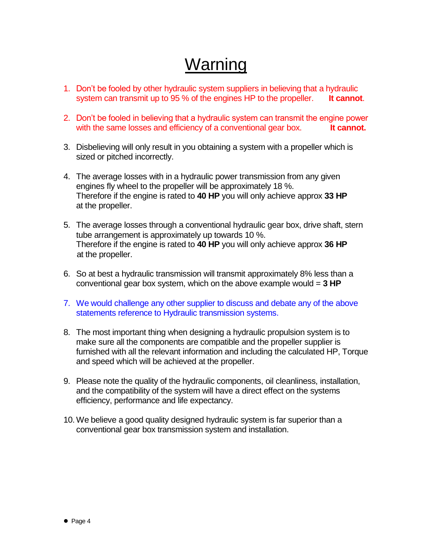## Warning

- 1. Don't be fooled by other hydraulic system suppliers in believing that a hydraulic system can transmit up to 95 % of the engines HP to the propeller. **It cannot**.
- 2. Don't be fooled in believing that a hydraulic system can transmit the engine power with the same losses and efficiency of a conventional gear box. **It cannot.**
- 3. Disbelieving will only result in you obtaining a system with a propeller which is sized or pitched incorrectly.
- 4. The average losses with in a hydraulic power transmission from any given engines fly wheel to the propeller will be approximately 18 %. Therefore if the engine is rated to **40 HP** you will only achieve approx **33 HP** at the propeller.
- 5. The average losses through a conventional hydraulic gear box, drive shaft, stern tube arrangement is approximately up towards 10 %. Therefore if the engine is rated to **40 HP** you will only achieve approx **36 HP** at the propeller.
- 6. So at best a hydraulic transmission will transmit approximately 8% less than a conventional gear box system, which on the above example would = **3 HP**
- 7. We would challenge any other supplier to discuss and debate any of the above statements reference to Hydraulic transmission systems.
- 8. The most important thing when designing a hydraulic propulsion system is to make sure all the components are compatible and the propeller supplier is furnished with all the relevant information and including the calculated HP, Torque and speed which will be achieved at the propeller.
- 9. Please note the quality of the hydraulic components, oil cleanliness, installation, and the compatibility of the system will have a direct effect on the systems efficiency, performance and life expectancy.
- 10.We believe a good quality designed hydraulic system is far superior than a conventional gear box transmission system and installation.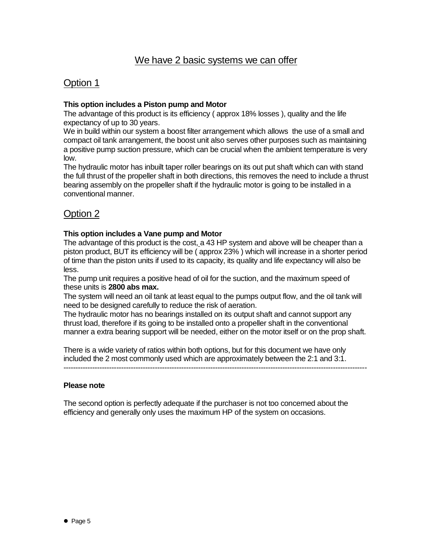### Option 1

#### **This option includes a Piston pump and Motor**

The advantage of this product is its efficiency ( approx 18% losses ), quality and the life expectancy of up to 30 years.

We in build within our system a boost filter arrangement which allows the use of a small and compact oil tank arrangement, the boost unit also serves other purposes such as maintaining a positive pump suction pressure, which can be crucial when the ambient temperature is very low.

The hydraulic motor has inbuilt taper roller bearings on its out put shaft which can with stand the full thrust of the propeller shaft in both directions, this removes the need to include a thrust bearing assembly on the propeller shaft if the hydraulic motor is going to be installed in a conventional manner.

## Option 2

#### **This option includes a Vane pump and Motor**

The advantage of this product is the cost, a 43 HP system and above will be cheaper than a piston product, BUT its efficiency will be ( approx 23% ) which will increase in a shorter period of time than the piston units if used to its capacity, its quality and life expectancy will also be less.

The pump unit requires a positive head of oil for the suction, and the maximum speed of these units is **2800 abs max.**

The system will need an oil tank at least equal to the pumps output flow, and the oil tank will need to be designed carefully to reduce the risk of aeration.

The hydraulic motor has no bearings installed on its output shaft and cannot support any thrust load, therefore if its going to be installed onto a propeller shaft in the conventional manner a extra bearing support will be needed, either on the motor itself or on the prop shaft.

There is a wide variety of ratios within both options, but for this document we have only included the 2 most commonly used which are approximately between the 2:1 and 3:1.

------------------------------------------------------------------------------------------------------------------------------

#### **Please note**

The second option is perfectly adequate if the purchaser is not too concerned about the efficiency and generally only uses the maximum HP of the system on occasions.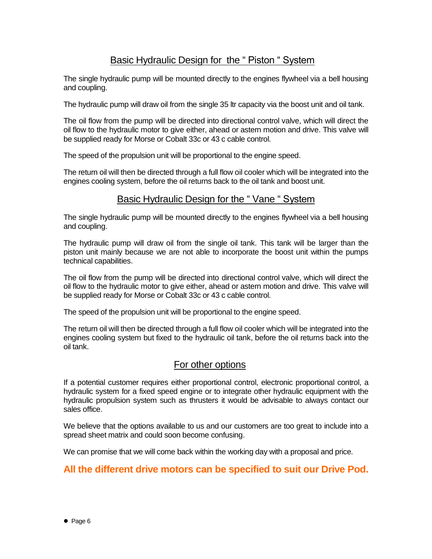### Basic Hydraulic Design for the " Piston " System

The single hydraulic pump will be mounted directly to the engines flywheel via a bell housing and coupling.

The hydraulic pump will draw oil from the single 35 ltr capacity via the boost unit and oil tank.

The oil flow from the pump will be directed into directional control valve, which will direct the oil flow to the hydraulic motor to give either, ahead or astern motion and drive. This valve will be supplied ready for Morse or Cobalt 33c or 43 c cable control.

The speed of the propulsion unit will be proportional to the engine speed.

The return oil will then be directed through a full flow oil cooler which will be integrated into the engines cooling system, before the oil returns back to the oil tank and boost unit.

#### Basic Hydraulic Design for the " Vane " System

The single hydraulic pump will be mounted directly to the engines flywheel via a bell housing and coupling.

The hydraulic pump will draw oil from the single oil tank. This tank will be larger than the piston unit mainly because we are not able to incorporate the boost unit within the pumps technical capabilities.

The oil flow from the pump will be directed into directional control valve, which will direct the oil flow to the hydraulic motor to give either, ahead or astern motion and drive. This valve will be supplied ready for Morse or Cobalt 33c or 43 c cable control.

The speed of the propulsion unit will be proportional to the engine speed.

The return oil will then be directed through a full flow oil cooler which will be integrated into the engines cooling system but fixed to the hydraulic oil tank, before the oil returns back into the oil tank.

#### For other options

If a potential customer requires either proportional control, electronic proportional control, a hydraulic system for a fixed speed engine or to integrate other hydraulic equipment with the hydraulic propulsion system such as thrusters it would be advisable to always contact our sales office.

We believe that the options available to us and our customers are too great to include into a spread sheet matrix and could soon become confusing.

We can promise that we will come back within the working day with a proposal and price.

### **All the different drive motors can be specified to suit our Drive Pod.**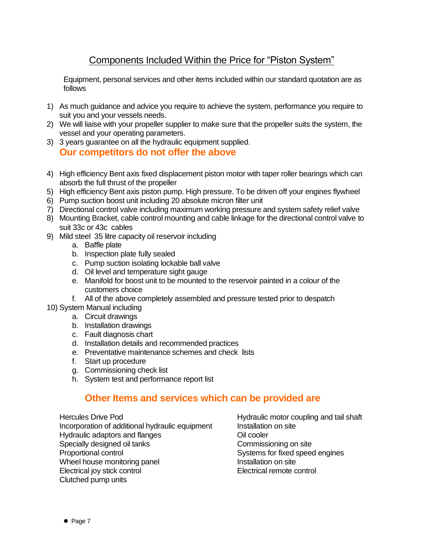## Components Included Within the Price for "Piston System"

Equipment, personal services and other items included within our standard quotation are as follows

- 1) As much guidance and advice you require to achieve the system, performance you require to suit you and your vessels needs.
- 2) We will liaise with your propeller supplier to make sure that the propeller suits the system, the vessel and your operating parameters.
- 3) 3 years guarantee on all the hydraulic equipment supplied. **Our competitors do not offer the above**
- 4) High efficiency Bent axis fixed displacement piston motor with taper roller bearings which can absorb the full thrust of the propeller
- 5) High efficiency Bent axis piston pump. High pressure. To be driven off your engines flywheel
- 6) Pump suction boost unit including 20 absolute micron filter unit
- 7) Directional control valve including maximum working pressure and system safety relief valve
- 8) Mounting Bracket, cable control mounting and cable linkage for the directional control valve to suit 33c or 43c cables
- 9) Mild steel 35 litre capacity oil reservoir including
	- a. Baffle plate
	- b. Inspection plate fully sealed
	- c. Pump suction isolating lockable ball valve
	- d. Oil level and temperature sight gauge
	- e. Manifold for boost unit to be mounted to the reservoir painted in a colour of the customers choice
	- f. All of the above completely assembled and pressure tested prior to despatch
- 10) System Manual including
	- a. Circuit drawings
	- b. Installation drawings
	- c. Fault diagnosis chart
	- d. Installation details and recommended practices
	- e. Preventative maintenance schemes and check lists
	- f. Start up procedure
	- g. Commissioning check list
	- h. System test and performance report list

#### **Other Items and services which can be provided are**

Hercules Drive Pod **Hydraulic motor coupling and tail shaft** Incorporation of additional hydraulic equipment Installation on site Hydraulic adaptors and flanges **Oil** cooler Specially designed oil tanks Commissioning on site<br>
Proportional control Commissioning on site<br>
Systems for fixed speed Wheel house monitoring panel **Installation** on site Electrical joy stick control Electrical remote control Clutched pump units

Systems for fixed speed engines